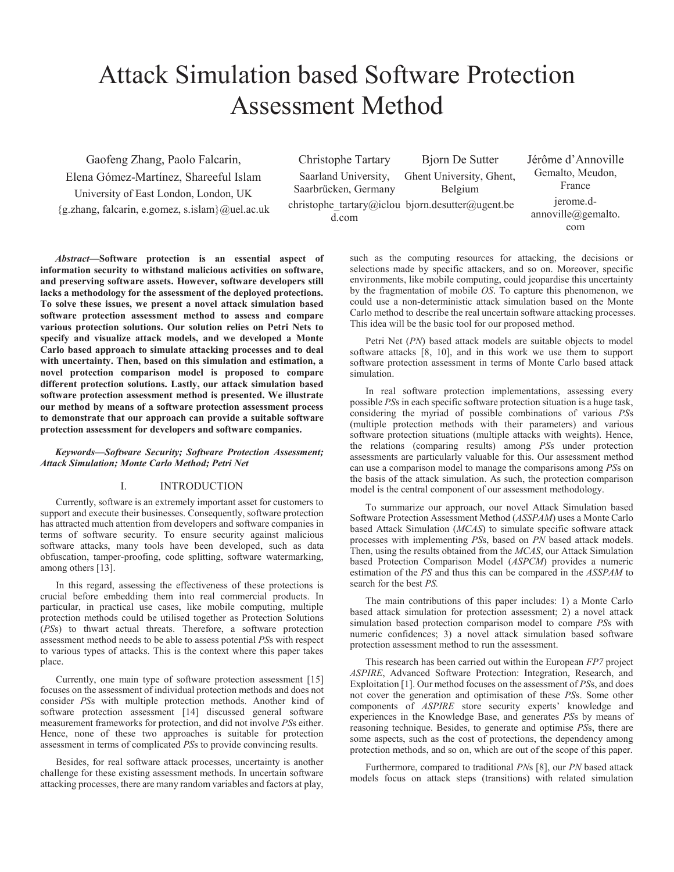# Attack Simulation based Software Protection Assessment Method

Gaofeng Zhang, Paolo Falcarin, Elena Gómez-Martínez, Shareeful Islam University of East London, London, UK  ${g,zhang, falcarin, e.gomez, s.islam}$  $@uel.ac.uk$ 

Christophe Tartary Saarland University, Saarbrücken, Germany christophe\_tartary@iclou bjorn.desutter@ugent.be d.com

Bjorn De Sutter Ghent University, Ghent, Belgium

Jérôme d'Annoville Gemalto, Meudon, France jerome.dannoville@gemalto. com

*Abstract***—Software protection is an essential aspect of information security to withstand malicious activities on software, and preserving software assets. However, software developers still lacks a methodology for the assessment of the deployed protections. To solve these issues, we present a novel attack simulation based software protection assessment method to assess and compare various protection solutions. Our solution relies on Petri Nets to specify and visualize attack models, and we developed a Monte Carlo based approach to simulate attacking processes and to deal with uncertainty. Then, based on this simulation and estimation, a novel protection comparison model is proposed to compare different protection solutions. Lastly, our attack simulation based software protection assessment method is presented. We illustrate our method by means of a software protection assessment process to demonstrate that our approach can provide a suitable software protection assessment for developers and software companies.** 

# *Keywords—Software Security; Software Protection Assessment; Attack Simulation; Monte Carlo Method; Petri Net*

# I. INTRODUCTION

Currently, software is an extremely important asset for customers to support and execute their businesses. Consequently, software protection has attracted much attention from developers and software companies in terms of software security. To ensure security against malicious software attacks, many tools have been developed, such as data obfuscation, tamper-proofing, code splitting, software watermarking, among others [13].

In this regard, assessing the effectiveness of these protections is crucial before embedding them into real commercial products. In particular, in practical use cases, like mobile computing, multiple protection methods could be utilised together as Protection Solutions (*PS*s) to thwart actual threats. Therefore, a software protection assessment method needs to be able to assess potential *PS*s with respect to various types of attacks. This is the context where this paper takes place.

Currently, one main type of software protection assessment [15] focuses on the assessment of individual protection methods and does not consider *PS*s with multiple protection methods. Another kind of software protection assessment [14] discussed general software measurement frameworks for protection, and did not involve *PS*s either. Hence, none of these two approaches is suitable for protection assessment in terms of complicated *PS*s to provide convincing results.

Besides, for real software attack processes, uncertainty is another challenge for these existing assessment methods. In uncertain software attacking processes, there are many random variables and factors at play,

such as the computing resources for attacking, the decisions or selections made by specific attackers, and so on. Moreover, specific environments, like mobile computing, could jeopardise this uncertainty by the fragmentation of mobile *OS*. To capture this phenomenon, we could use a non-deterministic attack simulation based on the Monte Carlo method to describe the real uncertain software attacking processes. This idea will be the basic tool for our proposed method.

Petri Net (*PN*) based attack models are suitable objects to model software attacks [8, 10], and in this work we use them to support software protection assessment in terms of Monte Carlo based attack simulation.

In real software protection implementations, assessing every possible *PS*s in each specific software protection situation is a huge task, considering the myriad of possible combinations of various *PS*s (multiple protection methods with their parameters) and various software protection situations (multiple attacks with weights). Hence, the relations (comparing results) among *PS*s under protection assessments are particularly valuable for this. Our assessment method can use a comparison model to manage the comparisons among *PS*s on the basis of the attack simulation. As such, the protection comparison model is the central component of our assessment methodology.

To summarize our approach, our novel Attack Simulation based Software Protection Assessment Method (*ASSPAM*) uses a Monte Carlo based Attack Simulation (*MCAS*) to simulate specific software attack processes with implementing *PS*s, based on *PN* based attack models. Then, using the results obtained from the *MCAS*, our Attack Simulation based Protection Comparison Model (*ASPCM*) provides a numeric estimation of the *PS* and thus this can be compared in the *ASSPAM* to search for the best *PS.*

The main contributions of this paper includes: 1) a Monte Carlo based attack simulation for protection assessment; 2) a novel attack simulation based protection comparison model to compare *PS*s with numeric confidences; 3) a novel attack simulation based software protection assessment method to run the assessment.

This research has been carried out within the European *FP7* project *ASPIRE*, Advanced Software Protection: Integration, Research, and Exploitation [1]. Our method focuses on the assessment of *PS*s, and does not cover the generation and optimisation of these *PS*s. Some other components of *ASPIRE* store security experts' knowledge and experiences in the Knowledge Base, and generates *PS*s by means of reasoning technique. Besides, to generate and optimise *PS*s, there are some aspects, such as the cost of protections, the dependency among protection methods, and so on, which are out of the scope of this paper.

Furthermore, compared to traditional *PN*s [8], our *PN* based attack models focus on attack steps (transitions) with related simulation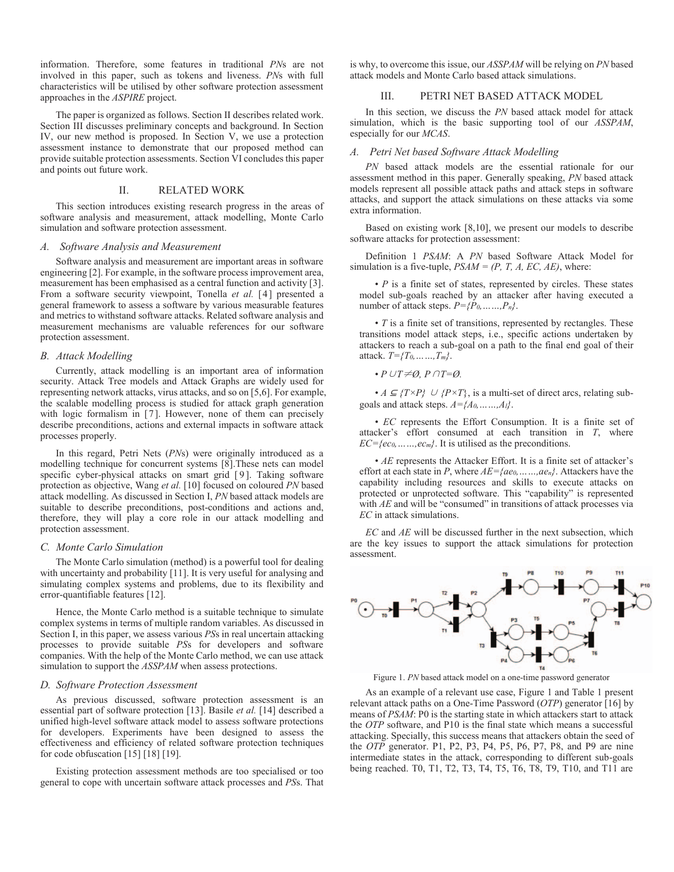information. Therefore, some features in traditional *PN*s are not involved in this paper, such as tokens and liveness. *PN*s with full characteristics will be utilised by other software protection assessment approaches in the *ASPIRE* project.

The paper is organized as follows. Section II describes related work. Section III discusses preliminary concepts and background. In Section IV, our new method is proposed. In Section V, we use a protection assessment instance to demonstrate that our proposed method can provide suitable protection assessments. Section VI concludes this paper and points out future work.

# II. RELATED WORK

This section introduces existing research progress in the areas of software analysis and measurement, attack modelling, Monte Carlo simulation and software protection assessment.

# *A. Software Analysis and Measurement*

Software analysis and measurement are important areas in software engineering [2]. For example, in the software process improvement area, measurement has been emphasised as a central function and activity [3]. From a software security viewpoint, Tonella *et al.* [4] presented a general framework to assess a software by various measurable features and metrics to withstand software attacks. Related software analysis and measurement mechanisms are valuable references for our software protection assessment.

# *B. Attack Modelling*

Currently, attack modelling is an important area of information security. Attack Tree models and Attack Graphs are widely used for representing network attacks, virus attacks, and so on [5,6]. For example, the scalable modelling process is studied for attack graph generation with logic formalism in [7]. However, none of them can precisely describe preconditions, actions and external impacts in software attack processes properly.

In this regard, Petri Nets (*PN*s) were originally introduced as a modelling technique for concurrent systems [8].These nets can model specific cyber-physical attacks on smart grid [9]. Taking software protection as objective, Wang *et al.* [10] focused on coloured *PN* based attack modelling. As discussed in Section I, *PN* based attack models are suitable to describe preconditions, post-conditions and actions and, therefore, they will play a core role in our attack modelling and protection assessment.

#### *C. Monte Carlo Simulation*

The Monte Carlo simulation (method) is a powerful tool for dealing with uncertainty and probability [11]. It is very useful for analysing and simulating complex systems and problems, due to its flexibility and error-quantifiable features [12].

Hence, the Monte Carlo method is a suitable technique to simulate complex systems in terms of multiple random variables. As discussed in Section I, in this paper, we assess various *PS*s in real uncertain attacking processes to provide suitable *PS*s for developers and software companies. With the help of the Monte Carlo method, we can use attack simulation to support the *ASSPAM* when assess protections.

#### *D. Software Protection Assessment*

As previous discussed, software protection assessment is an essential part of software protection [13]. Basile *et al.* [14] described a unified high-level software attack model to assess software protections for developers. Experiments have been designed to assess the effectiveness and efficiency of related software protection techniques for code obfuscation [15] [18] [19].

Existing protection assessment methods are too specialised or too general to cope with uncertain software attack processes and *PS*s. That

is why, to overcome this issue, our *ASSPAM* will be relying on *PN* based attack models and Monte Carlo based attack simulations.

# III. PETRI NET BASED ATTACK MODEL

In this section, we discuss the *PN* based attack model for attack simulation, which is the basic supporting tool of our *ASSPAM*, especially for our *MCAS*.

# *A. Petri Net based Software Attack Modelling*

*PN* based attack models are the essential rationale for our assessment method in this paper. Generally speaking, *PN* based attack models represent all possible attack paths and attack steps in software attacks, and support the attack simulations on these attacks via some extra information.

Based on existing work [8,10], we present our models to describe software attacks for protection assessment:

Definition 1 *PSAM*: A *PN* based Software Attack Model for simulation is a five-tuple,  $PSAM = (P, T, A, EC, AE)$ , where:

• *P* is a finite set of states, represented by circles. These states model sub-goals reached by an attacker after having executed a number of attack steps.  $P=\{P_0, \ldots, P_n\}$ .

• *T* is a finite set of transitions, represented by rectangles. These transitions model attack steps, i.e., specific actions undertaken by attackers to reach a sub-goal on a path to the final end goal of their attack. *T={T0,……,Tm}*.

•  $P \cup T \neq \emptyset$ ,  $P \cap T = \emptyset$ .

•  $A \subseteq \{T \times P\}$   $\cup$   $\{P \times T\}$ , is a multi-set of direct arcs, relating subgoals and attack steps. *A={A0,……,Al}*.

• *EC* represents the Effort Consumption. It is a finite set of attacker's effort consumed at each transition in *T*, where *EC={ec0,……,ecm}*. It is utilised as the preconditions.

• *AE* represents the Attacker Effort. It is a finite set of attacker's effort at each state in *P*, where *AE={ae0,……,aen}*. Attackers have the capability including resources and skills to execute attacks on protected or unprotected software. This "capability" is represented with *AE* and will be "consumed" in transitions of attack processes via *EC* in attack simulations.

*EC* and *AE* will be discussed further in the next subsection, which are the key issues to support the attack simulations for protection assessment.



Figure 1. *PN* based attack model on a one-time password generator

As an example of a relevant use case, Figure 1 and Table 1 present relevant attack paths on a One-Time Password (*OTP*) generator [16] by means of *PSAM*: P0 is the starting state in which attackers start to attack the *OTP* software, and P10 is the final state which means a successful attacking. Specially, this success means that attackers obtain the seed of the *OTP* generator. P1, P2, P3, P4, P5, P6, P7, P8, and P9 are nine intermediate states in the attack, corresponding to different sub-goals being reached. T0, T1, T2, T3, T4, T5, T6, T8, T9, T10, and T11 are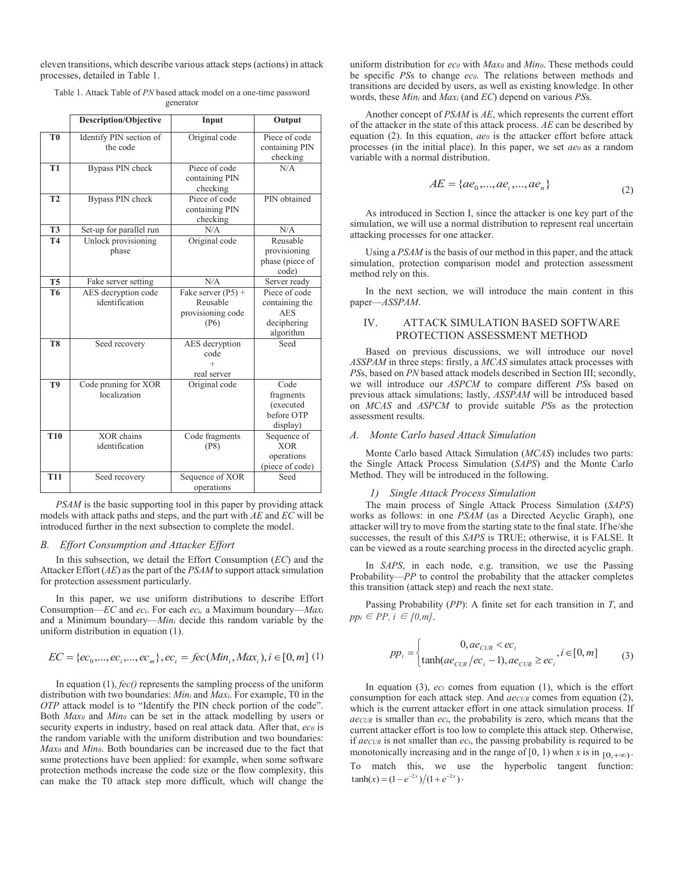eleven transitions, which describe various attack steps (actions) in attack processes, detailed in Table 1.

Table 1. Attack Table of *PN* based attack model on a one-time password generator

|                 | <b>Description/Objective</b>          | Input                                                         | Output                                                                    |
|-----------------|---------------------------------------|---------------------------------------------------------------|---------------------------------------------------------------------------|
| T <sub>0</sub>  | Identify PIN section of<br>the code   | Original code                                                 | Piece of code<br>containing PIN<br>checking                               |
| T <sub>1</sub>  | Bypass PIN check                      | Piece of code<br>containing PIN<br>checking                   | N/A                                                                       |
| T <sub>2</sub>  | Bypass PIN check                      | Piece of code<br>containing PIN<br>checking                   | PIN obtained                                                              |
| T <sub>3</sub>  | Set-up for parallel run               | N/A                                                           | N/A                                                                       |
| <b>T4</b>       | Unlock provisioning<br>phase          | Original code                                                 | Reusable<br>provisioning<br>phase (piece of<br>code)                      |
| $T\overline{5}$ | Fake server setting                   | N/A                                                           | Server ready                                                              |
| T <sub>6</sub>  | AES decryption code<br>identification | Fake server $(P5)$ +<br>Reusable<br>provisioning code<br>(P6) | Piece of code<br>containing the<br><b>AES</b><br>deciphering<br>algorithm |
| T <sub>8</sub>  | Seed recovery                         | AES decryption<br>code<br>$+$<br>real server                  | Seed                                                                      |
| T9              | Code pruning for XOR<br>localization  | Original code                                                 | Code<br>fragments<br>(executed<br>before OTP<br>display)                  |
| <b>T10</b>      | XOR chains<br>identification          | Code fragments<br>(P8)                                        | Sequence of<br><b>XOR</b><br>operations<br>(piece of code)                |
| <b>T11</b>      | Seed recovery                         | Sequence of XOR<br>operations                                 | Seed                                                                      |

*PSAM* is the basic supporting tool in this paper by providing attack models with attack paths and steps, and the part with *AE* and *EC* will be introduced further in the next subsection to complete the model.

## *B. Effort Consumption and Attacker Effort*

In this subsection, we detail the Effort Consumption (*EC*) and the Attacker Effort (*AE*) as the part of the *PSAM* to support attack simulation for protection assessment particularly.

In this paper, we use uniform distributions to describe Effort Consumption—*EC* and *eci*. For each *eci,* a Maximum boundary—*Maxi* and a Minimum boundary—*Mini* decide this random variable by the uniform distribution in equation (1).

$$
EC = \{ec_0, ..., ec_i, ..., ec_m\}, ec_i = \text{fcc}(Min_i, Max_i), i \in [0, m] \ (1)
$$

In equation (1), *fec()* represents the sampling process of the uniform distribution with two boundaries: *Mini* and *Maxi*. For example, T0 in the *OTP* attack model is to "Identify the PIN check portion of the code". Both *Max0* and *Min0* can be set in the attack modelling by users or security experts in industry, based on real attack data. After that, eco is the random variable with the uniform distribution and two boundaries: *Max0* and *Min0*. Both boundaries can be increased due to the fact that some protections have been applied: for example, when some software protection methods increase the code size or the flow complexity, this can make the T0 attack step more difficult, which will change the

uniform distribution for *ec0* with *Max0* and *Min0*. These methods could be specific *PSs* to change *ec<sub>0</sub>*. The relations between methods and transitions are decided by users, as well as existing knowledge. In other words, these *Mini* and *Maxi* (and *EC*) depend on various *PS*s.

Another concept of *PSAM* is *AE*, which represents the current effort of the attacker in the state of this attack process. *AE* can be described by equation (2). In this equation, *ae0* is the attacker effort before attack processes (in the initial place). In this paper, we set *ae0* as a random variable with a normal distribution.

$$
AE = \{ae_0, ..., ae_i, ..., ae_n\}
$$
 (2)

As introduced in Section I, since the attacker is one key part of the simulation, we will use a normal distribution to represent real uncertain attacking processes for one attacker.

Using a *PSAM* is the basis of our method in this paper, and the attack simulation, protection comparison model and protection assessment method rely on this.

In the next section, we will introduce the main content in this paper—*ASSPAM*.

# IV. ATTACK SIMULATION BASED SOFTWARE PROTECTION ASSESSMENT METHOD

Based on previous discussions, we will introduce our novel *ASSPAM* in three steps: firstly, a *MCAS* simulates attack processes with *PS*s, based on *PN* based attack models described in Section III; secondly, we will introduce our *ASPCM* to compare different *PS*s based on previous attack simulations; lastly, *ASSPAM* will be introduced based on *MCAS* and *ASPCM* to provide suitable *PS*s as the protection assessment results.

#### *A. Monte Carlo based Attack Simulation*

Monte Carlo based Attack Simulation (*MCAS*) includes two parts: the Single Attack Process Simulation (*SAPS*) and the Monte Carlo Method. They will be introduced in the following.

#### *1) Single Attack Process Simulation*

The main process of Single Attack Process Simulation (*SAPS*) works as follows: in one *PSAM* (as a Directed Acyclic Graph), one attacker will try to move from the starting state to the final state. If he/she successes, the result of this *SAPS* is TRUE; otherwise, it is FALSE. It can be viewed as a route searching process in the directed acyclic graph.

In *SAPS*, in each node, e.g. transition, we use the Passing Probability—*PP* to control the probability that the attacker completes this transition (attack step) and reach the next state.

Passing Probability (*PP*): A finite set for each transition in *T*, and  $pp_i \in PP, i \in [0,m].$ 

$$
pp_i = \begin{cases} 0, ae_{CUR} < ee_i \\ \tanh(ae_{CUR}/ec_i - 1), ae_{CUR} \ge ec_i, i \in [0, m] \end{cases}
$$
 (3)

In equation  $(3)$ ,  $ec_i$  comes from equation  $(1)$ , which is the effort consumption for each attack step. And *aecur* comes from equation (2), which is the current attacker effort in one attack simulation process. If *aeCUR* is smaller than *eci*, the probability is zero, which means that the current attacker effort is too low to complete this attack step. Otherwise, if *aeCUR* is not smaller than *eci*, the passing probability is required to be monotonically increasing and in the range of [0, 1) when *x* is in  $_{[0,+\infty)}$ . To match this, we use the hyperbolic tangent function:  $\tanh(x) = (1 - e^{-2x})/(1 + e^{-2x})$ .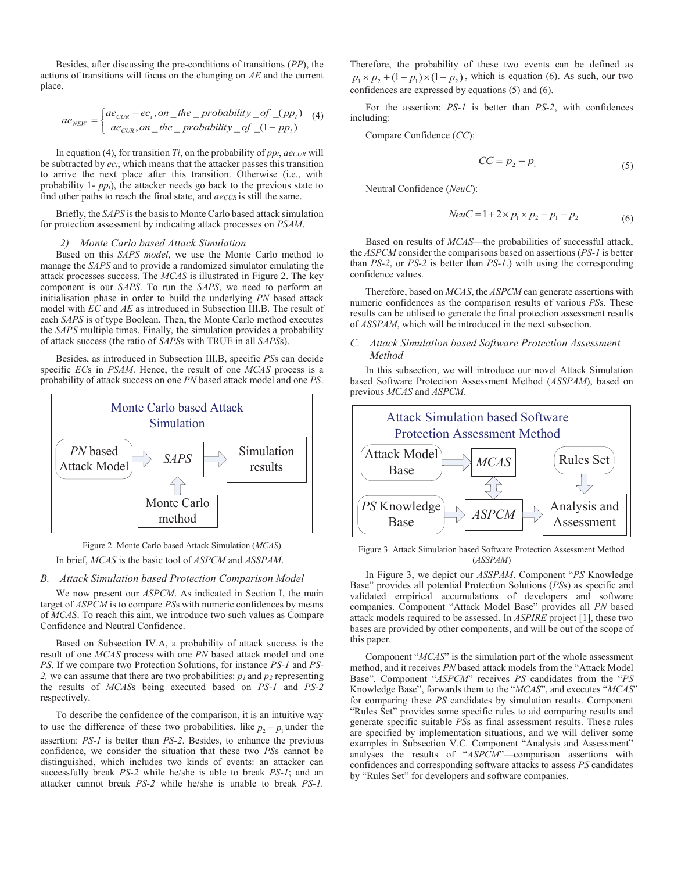Besides, after discussing the pre-conditions of transitions (*PP*), the actions of transitions will focus on the changing on *AE* and the current place.

$$
ae_{NEW} = \begin{cases} ae_{CUR} - ec_i, on\_the\_probability\_of_(pp_i) \\ ae_{CUR}, on\_the\_probability\_of_(1 - pp_i) \end{cases}
$$
 (4)

In equation (4), for transition  $Ti$ , on the probability of  $pp_i$ ,  $ae_{CUR}$  will be subtracted by *eci*, which means that the attacker passes this transition to arrive the next place after this transition. Otherwise (i.e., with probability 1- *ppi*), the attacker needs go back to the previous state to find other paths to reach the final state, and  $ae_{CUR}$  is still the same.

Briefly, the *SAPS* is the basis to Monte Carlo based attack simulation for protection assessment by indicating attack processes on *PSAM*.

# *2) Monte Carlo based Attack Simulation*

Based on this *SAPS model*, we use the Monte Carlo method to manage the *SAPS* and to provide a randomized simulator emulating the attack processes success. The *MCAS* is illustrated in Figure 2. The key component is our *SAPS*. To run the *SAPS*, we need to perform an initialisation phase in order to build the underlying *PN* based attack model with *EC* and *AE* as introduced in Subsection III.B. The result of each *SAPS* is of type Boolean. Then, the Monte Carlo method executes the *SAPS* multiple times. Finally, the simulation provides a probability of attack success (the ratio of *SAPS*s with TRUE in all *SAPS*s).

Besides, as introduced in Subsection III.B, specific *PS*s can decide specific *EC*s in *PSAM*. Hence, the result of one *MCAS* process is a probability of attack success on one *PN* based attack model and one *PS*.



Figure 2. Monte Carlo based Attack Simulation (*MCAS*) In brief, *MCAS* is the basic tool of *ASPCM* and *ASSPAM*.

#### *B. Attack Simulation based Protection Comparison Model*

We now present our *ASPCM*. As indicated in Section I, the main target of *ASPCM* is to compare *PS*s with numeric confidences by means of *MCAS*. To reach this aim, we introduce two such values as Compare Confidence and Neutral Confidence.

Based on Subsection IV.A, a probability of attack success is the result of one *MCAS* process with one *PN* based attack model and one *PS*. If we compare two Protection Solutions, for instance *PS-1* and *PS-*2, we can assume that there are two probabilities:  $p_l$  and  $p_2$  representing the results of *MCAS*s being executed based on *PS-1* and *PS-2* respectively.

To describe the confidence of the comparison, it is an intuitive way to use the difference of these two probabilities, like  $p_2 - p_1$  under the assertion: *PS-1* is better than *PS-2*. Besides, to enhance the previous confidence, we consider the situation that these two *PS*s cannot be distinguished, which includes two kinds of events: an attacker can successfully break *PS-2* while he/she is able to break *PS-1*; and an attacker cannot break *PS-2* while he/she is unable to break *PS-1.* Therefore, the probability of these two events can be defined as  $p_1 \times p_2 + (1 - p_1) \times (1 - p_2)$ , which is equation (6). As such, our two confidences are expressed by equations (5) and (6).

For the assertion: *PS-1* is better than *PS-2*, with confidences including:

Compare Confidence (*CC*):

$$
CC = p_2 - p_1 \tag{5}
$$

Neutral Confidence (*NeuC*):

$$
NeuC = 1 + 2 \times p_1 \times p_2 - p_1 - p_2 \tag{6}
$$

Based on results of *MCAS*—the probabilities of successful attack, the *ASPCM* consider the comparisons based on assertions (*PS-1* is better than *PS-2*, or *PS-2* is better than *PS-1*.) with using the corresponding confidence values.

Therefore, based on *MCAS*, the *ASPCM* can generate assertions with numeric confidences as the comparison results of various *PS*s. These results can be utilised to generate the final protection assessment results of *ASSPAM*, which will be introduced in the next subsection.

# *C. Attack Simulation based Software Protection Assessment Method*

In this subsection, we will introduce our novel Attack Simulation based Software Protection Assessment Method (*ASSPAM*), based on previous *MCAS* and *ASPCM*.



Figure 3. Attack Simulation based Software Protection Assessment Method (*ASSPAM*)

In Figure 3, we depict our *ASSPAM*. Component "*PS* Knowledge Base" provides all potential Protection Solutions (*PS*s) as specific and validated empirical accumulations of developers and software companies. Component "Attack Model Base" provides all *PN* based attack models required to be assessed. In *ASPIRE* project [1], these two bases are provided by other components, and will be out of the scope of this paper.

Component "*MCAS*" is the simulation part of the whole assessment method, and it receives *PN* based attack models from the "Attack Model Base". Component "*ASPCM*" receives *PS* candidates from the "*PS* Knowledge Base", forwards them to the "*MCAS*", and executes "*MCAS*" for comparing these *PS* candidates by simulation results. Component "Rules Set" provides some specific rules to aid comparing results and generate specific suitable *PS*s as final assessment results. These rules are specified by implementation situations, and we will deliver some examples in Subsection V.C. Component "Analysis and Assessment" analyses the results of "*ASPCM*"—comparison assertions with confidences and corresponding software attacks to assess *PS* candidates by "Rules Set" for developers and software companies.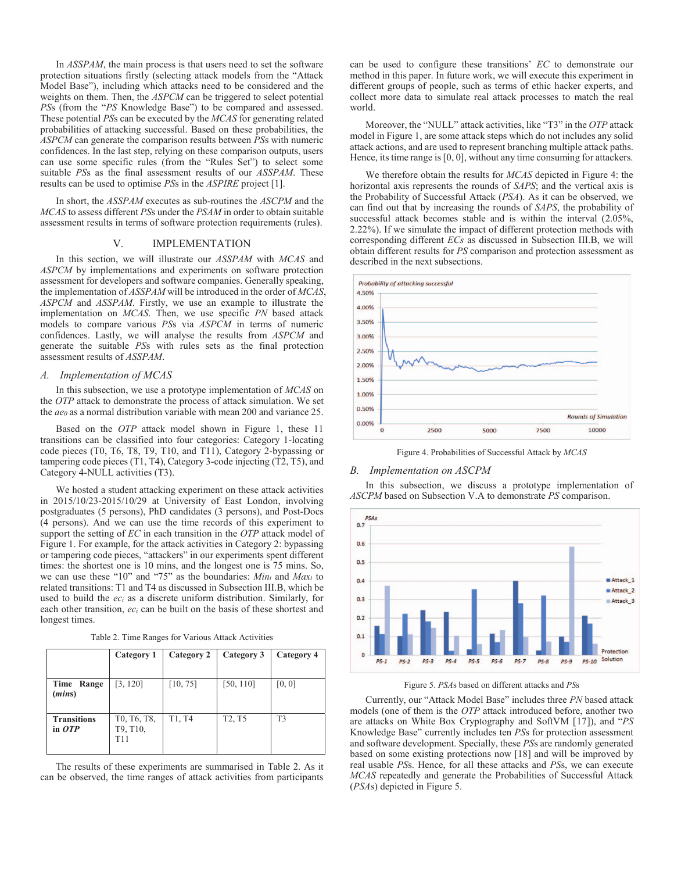In *ASSPAM*, the main process is that users need to set the software protection situations firstly (selecting attack models from the "Attack Model Base"), including which attacks need to be considered and the weights on them. Then, the *ASPCM* can be triggered to select potential *PS*s (from the "*PS* Knowledge Base") to be compared and assessed. These potential *PS*s can be executed by the *MCAS* for generating related probabilities of attacking successful. Based on these probabilities, the *ASPCM* can generate the comparison results between *PS*s with numeric confidences. In the last step, relying on these comparison outputs, users can use some specific rules (from the "Rules Set") to select some suitable *PS*s as the final assessment results of our *ASSPAM*. These results can be used to optimise *PS*s in the *ASPIRE* project [1].

In short, the *ASSPAM* executes as sub-routines the *ASCPM* and the *MCAS* to assess different *PS*s under the *PSAM* in order to obtain suitable assessment results in terms of software protection requirements (rules).

## V. IMPLEMENTATION

In this section, we will illustrate our *ASSPAM* with *MCAS* and *ASPCM* by implementations and experiments on software protection assessment for developers and software companies. Generally speaking, the implementation of *ASSPAM* will be introduced in the order of *MCAS*, *ASPCM* and *ASSPAM*. Firstly, we use an example to illustrate the implementation on *MCAS*. Then, we use specific *PN* based attack models to compare various *PS*s via *ASPCM* in terms of numeric confidences. Lastly, we will analyse the results from *ASPCM* and generate the suitable *PS*s with rules sets as the final protection assessment results of *ASSPAM*.

## *A. Implementation of MCAS*

In this subsection, we use a prototype implementation of *MCAS* on the *OTP* attack to demonstrate the process of attack simulation. We set the *ae0* as a normal distribution variable with mean 200 and variance 25.

Based on the *OTP* attack model shown in Figure 1, these 11 transitions can be classified into four categories: Category 1-locating code pieces (T0, T6, T8, T9, T10, and T11), Category 2-bypassing or tampering code pieces (T1, T4), Category 3-code injecting (T2, T5), and Category 4-NULL activities (T3).

We hosted a student attacking experiment on these attack activities in 2015/10/23-2015/10/29 at University of East London, involving postgraduates (5 persons), PhD candidates (3 persons), and Post-Docs (4 persons). And we can use the time records of this experiment to support the setting of *EC* in each transition in the *OTP* attack model of Figure 1. For example, for the attack activities in Category 2: bypassing or tampering code pieces, "attackers" in our experiments spent different times: the shortest one is 10 mins, and the longest one is 75 mins. So, we can use these "10" and "75" as the boundaries: *Mini* and *Maxi* to related transitions: T1 and T4 as discussed in Subsection III.B, which be used to build the *eci* as a discrete uniform distribution. Similarly, for each other transition, *eci* can be built on the basis of these shortest and longest times.

|  |  |  | Table 2. Time Ranges for Various Attack Activities |
|--|--|--|----------------------------------------------------|
|  |  |  |                                                    |

|                                          | Category 1                     | Category 2 | Category 3                      | Category 4 |
|------------------------------------------|--------------------------------|------------|---------------------------------|------------|
| Time Range<br>( <i>mins</i> )            | [3, 120]                       | [10, 75]   | [50, 110]                       | [0, 0]     |
| <b>Transitions</b><br>in $\overline{OP}$ | T0, T6, T8,<br>T9, T10,<br>T11 | T1, T4     | T <sub>2</sub> , T <sub>5</sub> | T3         |

The results of these experiments are summarised in Table 2. As it can be observed, the time ranges of attack activities from participants can be used to configure these transitions' *EC* to demonstrate our method in this paper. In future work, we will execute this experiment in different groups of people, such as terms of ethic hacker experts, and collect more data to simulate real attack processes to match the real world.

Moreover, the "NULL" attack activities, like "T3" in the *OTP* attack model in Figure 1, are some attack steps which do not includes any solid attack actions, and are used to represent branching multiple attack paths. Hence, its time range is [0, 0], without any time consuming for attackers.

We therefore obtain the results for *MCAS* depicted in Figure 4: the horizontal axis represents the rounds of *SAPS*; and the vertical axis is the Probability of Successful Attack (*PSA*). As it can be observed, we can find out that by increasing the rounds of *SAPS*, the probability of successful attack becomes stable and is within the interval (2.05%, 2.22%). If we simulate the impact of different protection methods with corresponding different *ECs* as discussed in Subsection III.B, we will obtain different results for *PS* comparison and protection assessment as described in the next subsections.



Figure 4. Probabilities of Successful Attack by *MCAS*

#### *B. Implementation on ASCPM*

In this subsection, we discuss a prototype implementation of *ASCPM* based on Subsection V.A to demonstrate *PS* comparison.





Currently, our "Attack Model Base" includes three *PN* based attack models (one of them is the *OTP* attack introduced before, another two are attacks on White Box Cryptography and SoftVM [17]), and "*PS* Knowledge Base" currently includes ten *PS*s for protection assessment and software development. Specially, these *PS*s are randomly generated based on some existing protections now [18] and will be improved by real usable *PS*s. Hence, for all these attacks and *PS*s, we can execute *MCAS* repeatedly and generate the Probabilities of Successful Attack (*PSA*s) depicted in Figure 5.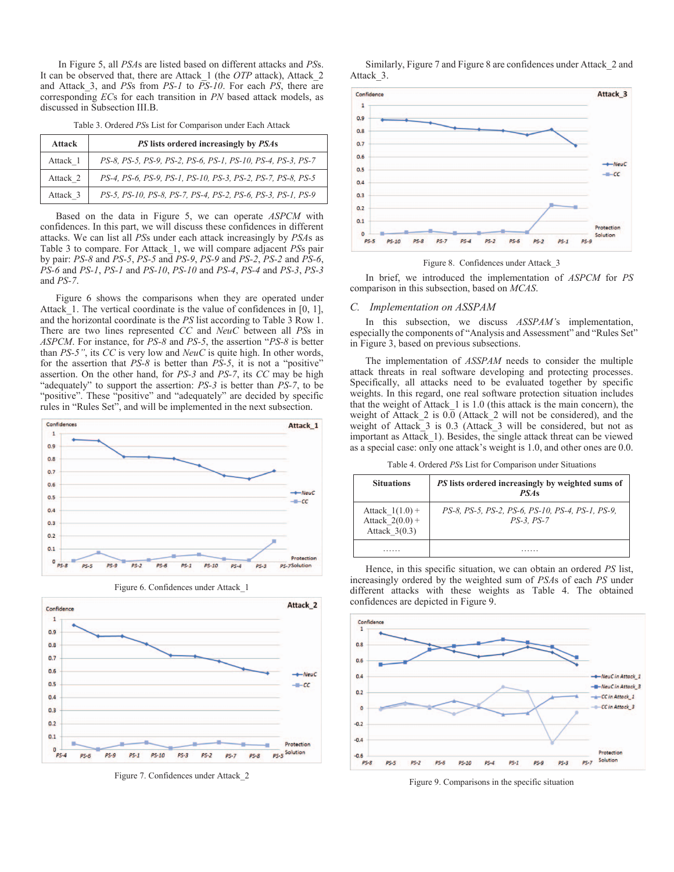In Figure 5, all *PSA*s are listed based on different attacks and *PS*s. It can be observed that, there are Attack\_1 (the *OTP* attack), Attack\_2 and Attack\_3, and *PS*s from *PS-1* to *PS-10*. For each *PS*, there are corresponding *EC*s for each transition in *PN* based attack models, as discussed in Subsection III.B.

Table 3. Ordered *PS*s List for Comparison under Each Attack

| <b>Attack</b> | PS lists ordered increasingly by PSAs                       |
|---------------|-------------------------------------------------------------|
| Attack 1      | PS-8, PS-5, PS-9, PS-2, PS-6, PS-1, PS-10, PS-4, PS-3, PS-7 |
| Attack 2      | PS-4, PS-6, PS-9, PS-1, PS-10, PS-3, PS-2, PS-7, PS-8, PS-5 |
| Attack 3      | PS-5, PS-10, PS-8, PS-7, PS-4, PS-2, PS-6, PS-3, PS-1, PS-9 |

Based on the data in Figure 5, we can operate *ASPCM* with confidences. In this part, we will discuss these confidences in different attacks. We can list all *PS*s under each attack increasingly by *PSA*s as Table 3 to compare. For Attack\_1, we will compare adjacent *PS*s pair by pair: *PS-8* and *PS-5*, *PS-5* and *PS-9*, *PS-9* and *PS-2*, *PS-2* and *PS-6*, *PS-6* and *PS-1*, *PS-1* and *PS-10*, *PS-10* and *PS-4*, *PS-4* and *PS-3*, *PS-3* and *PS-7*.

Figure 6 shows the comparisons when they are operated under Attack 1. The vertical coordinate is the value of confidences in  $[0, 1]$ , and the horizontal coordinate is the *PS* list according to Table 3 Row 1. There are two lines represented *CC* and *NeuC* between all *PS*s in *ASPCM*. For instance, for *PS-8* and *PS-5*, the assertion "*PS-8* is better than *PS-5"*, its *CC* is very low and *NeuC* is quite high. In other words, for the assertion that *PS-8* is better than *PS-5*, it is not a "positive" assertion. On the other hand, for *PS-3* and *PS-7*, its *CC* may be high "adequately" to support the assertion: *PS-3* is better than *PS-7*, to be "positive". These "positive" and "adequately" are decided by specific rules in "Rules Set", and will be implemented in the next subsection.





Figure 7. Confidences under Attack\_2

Similarly, Figure 7 and Figure 8 are confidences under Attack\_2 and Attack\_3.



Figure 8. Confidences under Attack\_3

In brief, we introduced the implementation of *ASPCM* for *PS* comparison in this subsection, based on *MCAS*.

#### *C. Implementation on ASSPAM*

In this subsection, we discuss *ASSPAM'*s implementation, especially the components of "Analysis and Assessment" and "Rules Set" in Figure 3, based on previous subsections.

The implementation of *ASSPAM* needs to consider the multiple attack threats in real software developing and protecting processes. Specifically, all attacks need to be evaluated together by specific weights. In this regard, one real software protection situation includes that the weight of Attack  $1$  is 1.0 (this attack is the main concern), the weight of Attack 2 is 0.0 (Attack 2 will not be considered), and the weight of Attack\_3 is 0.3 (Attack\_3 will be considered, but not as important as Attack\_1). Besides, the single attack threat can be viewed as a special case: only one attack's weight is 1.0, and other ones are 0.0.

Table 4. Ordered *PS*s List for Comparison under Situations

| <b>Situations</b>                                         | PS lists ordered increasingly by weighted sums of<br><b>PSAs</b>      |
|-----------------------------------------------------------|-----------------------------------------------------------------------|
| Attack $1(1.0) +$<br>Attack $2(0.0) +$<br>Attack $3(0.3)$ | PS-8, PS-5, PS-2, PS-6, PS-10, PS-4, PS-1, PS-9,<br><i>PS-3. PS-7</i> |
|                                                           |                                                                       |

Hence, in this specific situation, we can obtain an ordered *PS* list, increasingly ordered by the weighted sum of *PSA*s of each *PS* under different attacks with these weights as Table 4. The obtained confidences are depicted in Figure 9.



Figure 9. Comparisons in the specific situation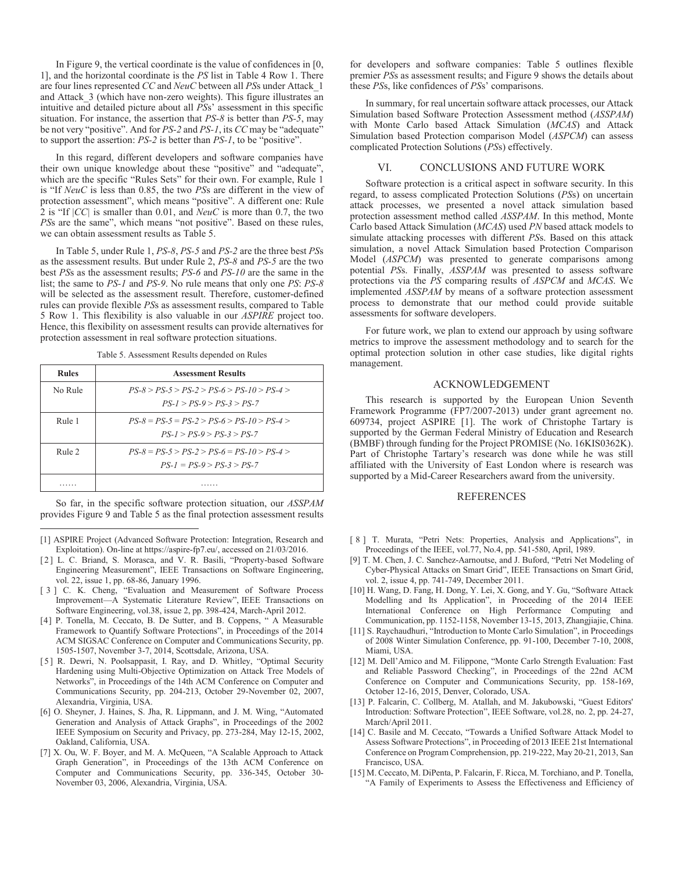In Figure 9, the vertical coordinate is the value of confidences in [0, 1], and the horizontal coordinate is the *PS* list in Table 4 Row 1. There are four lines represented *CC* and *NeuC* between all *PS*s under Attack\_1 and Attack  $3$  (which have non-zero weights). This figure illustrates an intuitive and detailed picture about all *PS*s' assessment in this specific situation. For instance, the assertion that *PS-8* is better than *PS-5*, may be not very "positive". And for *PS-2* and *PS-1*, its *CC* may be "adequate" to support the assertion: *PS-2* is better than *PS-1*, to be "positive".

In this regard, different developers and software companies have their own unique knowledge about these "positive" and "adequate", which are the specific "Rules Sets" for their own. For example, Rule 1 is "If *NeuC* is less than 0.85, the two *PS*s are different in the view of protection assessment", which means "positive". A different one: Rule 2 is "If |*CC|* is smaller than 0.01, and *NeuC* is more than 0.7, the two *PSs* are the same", which means "not positive". Based on these rules, we can obtain assessment results as Table 5.

In Table 5, under Rule 1, *PS-8*, *PS-5* and *PS-2* are the three best *PS*s as the assessment results. But under Rule 2, *PS-8* and *PS-5* are the two best *PS*s as the assessment results; *PS-6* and *PS-10* are the same in the list; the same to *PS-1* and *PS-9*. No rule means that only one *PS*: *PS-8* will be selected as the assessment result. Therefore, customer-defined rules can provide flexible *PS*s as assessment results, compared to Table 5 Row 1. This flexibility is also valuable in our *ASPIRE* project too. Hence, this flexibility on assessment results can provide alternatives for protection assessment in real software protection situations.

Table 5. Assessment Results depended on Rules

| <b>Rules</b> | <b>Assessment Results</b>                                                           |
|--------------|-------------------------------------------------------------------------------------|
| No Rule      | $PS-8 > PS-5 > PS-2 > PS-6 > PS-10 > PS-4 >$<br>$PS - 1 > PS - 9 > PS - 3 > PS - 7$ |
| Rule 1       | $PS-8 = PS-5 = PS-2 > PS-6 > PS-10 > PS-4 >$<br>$PS-1 > PS-9 > PS-3 > PS-7$         |
| Rule 2       | $PS-8 = PS-5 > PS-2 > PS-6 = PS-10 > PS-4 >$<br>$PS-I = PS-9 > PS-3 > PS-7$         |
|              |                                                                                     |

So far, in the specific software protection situation, our *ASSPAM* provides Figure 9 and Table 5 as the final protection assessment results

 $\overline{a}$ 

- [2] L. C. Briand, S. Morasca, and V. R. Basili, "Property-based Software Engineering Measurement", IEEE Transactions on Software Engineering, vol. 22, issue 1, pp. 68-86, January 1996.
- [ 3 ] C. K. Cheng, "Evaluation and Measurement of Software Process Improvement—A Systematic Literature Review", IEEE Transactions on Software Engineering, vol.38, issue 2, pp. 398-424, March-April 2012.
- [4] P. Tonella, M. Ceccato, B. De Sutter, and B. Coppens, " A Measurable Framework to Quantify Software Protections", in Proceedings of the 2014 ACM SIGSAC Conference on Computer and Communications Security, pp. 1505-1507, November 3-7, 2014, Scottsdale, Arizona, USA.
- [5] R. Dewri, N. Poolsappasit, I. Ray, and D. Whitley, "Optimal Security Hardening using Multi-Objective Optimization on Attack Tree Models of Networks", in Proceedings of the 14th ACM Conference on Computer and Communications Security, pp. 204-213, October 29-November 02, 2007, Alexandria, Virginia, USA.
- [6] O. Sheyner, J. Haines, S. Jha, R. Lippmann, and J. M. Wing, "Automated Generation and Analysis of Attack Graphs", in Proceedings of the 2002 IEEE Symposium on Security and Privacy, pp. 273-284, May 12-15, 2002, Oakland, California, USA.
- [7] X. Ou, W. F. Boyer, and M. A. McQueen, "A Scalable Approach to Attack Graph Generation", in Proceedings of the 13th ACM Conference on Computer and Communications Security, pp. 336-345, October 30- November 03, 2006, Alexandria, Virginia, USA.

for developers and software companies: Table 5 outlines flexible premier *PS*s as assessment results; and Figure 9 shows the details about these *PS*s, like confidences of *PS*s' comparisons.

In summary, for real uncertain software attack processes, our Attack Simulation based Software Protection Assessment method (*ASSPAM*) with Monte Carlo based Attack Simulation (*MCAS*) and Attack Simulation based Protection comparison Model (*ASPCM*) can assess complicated Protection Solutions (*PS*s) effectively.

# VI. CONCLUSIONS AND FUTURE WORK

Software protection is a critical aspect in software security. In this regard, to assess complicated Protection Solutions (*PS*s) on uncertain attack processes, we presented a novel attack simulation based protection assessment method called *ASSPAM*. In this method, Monte Carlo based Attack Simulation (*MCAS*) used *PN* based attack models to simulate attacking processes with different *PS*s. Based on this attack simulation, a novel Attack Simulation based Protection Comparison Model (*ASPCM*) was presented to generate comparisons among potential *PS*s. Finally, *ASSPAM* was presented to assess software protections via the *PS* comparing results of *ASPCM* and *MCAS*. We implemented *ASSPAM* by means of a software protection assessment process to demonstrate that our method could provide suitable assessments for software developers.

For future work, we plan to extend our approach by using software metrics to improve the assessment methodology and to search for the optimal protection solution in other case studies, like digital rights management.

## ACKNOWLEDGEMENT

This research is supported by the European Union Seventh Framework Programme (FP7/2007-2013) under grant agreement no. 609734, project ASPIRE [1]. The work of Christophe Tartary is supported by the German Federal Ministry of Education and Research (BMBF) through funding for the Project PROMISE (No. 16KIS0362K). Part of Christophe Tartary's research was done while he was still affiliated with the University of East London where is research was supported by a Mid-Career Researchers award from the university.

# REFERENCES

- [ 8 ] T. Murata, "Petri Nets: Properties, Analysis and Applications", in Proceedings of the IEEE, vol.77, No.4, pp. 541-580, April, 1989.
- [9] T. M. Chen, J. C. Sanchez-Aarnoutse, and J. Buford, "Petri Net Modeling of Cyber-Physical Attacks on Smart Grid", IEEE Transactions on Smart Grid, vol. 2, issue 4, pp. 741-749, December 2011.
- [10] H. Wang, D. Fang, H. Dong, Y. Lei, X. Gong, and Y. Gu, "Software Attack Modelling and Its Application", in Proceeding of the 2014 IEEE International Conference on High Performance Computing and Communication, pp. 1152-1158, November 13-15, 2013, Zhangjiajie, China.
- [11] S. Raychaudhuri, "Introduction to Monte Carlo Simulation", in Proceedings of 2008 Winter Simulation Conference, pp. 91-100, December 7-10, 2008, Miami, USA.
- [12] M. Dell'Amico and M. Filippone, "Monte Carlo Strength Evaluation: Fast and Reliable Password Checking", in Proceedings of the 22nd ACM Conference on Computer and Communications Security, pp. 158-169, October 12-16, 2015, Denver, Colorado, USA.
- [13] P. Falcarin, C. Collberg, M. Atallah, and M. Jakubowski, "Guest Editors' Introduction: Software Protection", IEEE Software, vol.28, no. 2, pp. 24-27, March/April 2011.
- [14] C. Basile and M. Ceccato, "Towards a Unified Software Attack Model to Assess Software Protections", in Proceeding of 2013 IEEE 21st International Conference on Program Comprehension, pp. 219-222, May 20-21, 2013, San Francisco, USA.
- [15] M. Ceccato, M. DiPenta, P. Falcarin, F. Ricca, M. Torchiano, and P. Tonella, "A Family of Experiments to Assess the Effectiveness and Efficiency of

<sup>[1]</sup> ASPIRE Project (Advanced Software Protection: Integration, Research and Exploitation). On-line at https://aspire-fp7.eu/, accessed on 21/03/2016.